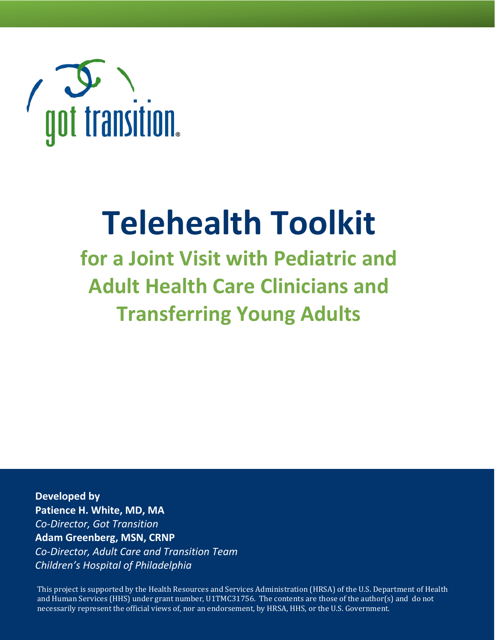

# **Telehealth Toolkit**

**for a Joint Visit with Pediatric and Adult Health Care Clinicians and Transferring Young Adults**

**Developed by Patience H. White, MD, MA** *Co-Director, Got Transition* **Adam Greenberg, MSN, CRNP** *Co-Director, Adult Care and Transition Team Children's Hospital of Philadelphia*

This project is supported by the Health Resources and Services Administration (HRSA) of the U.S. Department of Health and Human Services (HHS) under grant number, U1TMC31756. The contents are those of the author(s) and do not necessarily represent the official views of, nor an endorsement, by HRSA, HHS, or the U.S. Government.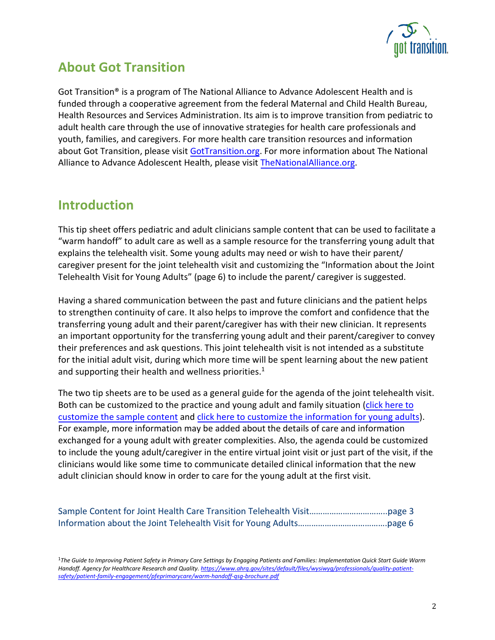

## **About Got Transition**

Got Transition® is a program of The National Alliance to Advance Adolescent Health and is funded through a cooperative agreement from the federal Maternal and Child Health Bureau, Health Resources and Services Administration. Its aim is to improve transition from pediatric to adult health care through the use of innovative strategies for health care professionals and youth, families, and caregivers. For more health care transition resources and information about Got Transition, please visit [GotTransition.org.](www.gottransition.org) For more information about The National Alliance to Advance Adolescent Health, please visit [TheNationalAlliance.org](www.thenationalalliance.org).

## **Introduction**

This tip sheet offers pediatric and adult clinicians sample content that can be used to facilitate a "warm handoff" to adult care as well as a sample resource for the transferring young adult that explains the telehealth visit. Some young adults may need or wish to have their parent/ caregiver present for the joint telehealth visit and customizing the "Information about the Joint Telehealth Visit for Young Adults" [\(page](#page-5-0) 6) to include the parent/ caregiver is suggested.

Having a shared communication between the past and future clinicians and the patient helps to strengthen continuity of care. It also helps to improve the comfort and confidence that the transferring young adult and their parent/caregiver has with their new clinician. It represents an important opportunity for the transferring young adult and their parent/caregiver to convey their preferences and ask questions. This joint telehealth visit is not intended as a substitute for the initial adult visit, during which more time will be spent learning about the new patient and supporting their health and wellness priorities.<sup>1</sup>

The two tip sheets are to be used as a general guide for the agenda of the joint telehealth visit. Both can be customized to the practice and young adult and family situation (click here to customize the sample content and click here to customize [the information fo](https://gottransition.org/resource/information-joint-telehealth-visit-young-adults)[r young adults\).](https://gottransition.org/resource/sample-content-joint-telehealth-visit)  [For example, more information](https://gottransition.org/resource/sample-content-joint-telehealth-visit) may be added about the details of care and information exchanged for a young adult with greater complexities. Also, the agenda could be customized to include the young adult/caregiver in the entire virtual joint visit or just part of the visit, if the clinicians would like some time to communicate detailed clinical information that the new adult clinician should know in order to care for the young adult at the first visit.

<sup>1</sup>*The Guide to Improving Patient Safety in Primary Care Settings by Engaging Patients and Families: Implementation Quick Start Guide Warm Handoff. Agency for Healthcare Research and Quality[. https://www.ahrq.gov/sites/default/files/wysiwyg/professionals/quality-patient](https://www.ahrq.gov/sites/default/files/wysiwyg/professionals/quality-patient-safety/patient-family-engagement/pfeprimarycare/warm-handoff-qsg-brochure.pdf)[safety/patient-family-engagement/pfeprimarycare/warm-handoff-qsg-brochure.pdf](https://www.ahrq.gov/sites/default/files/wysiwyg/professionals/quality-patient-safety/patient-family-engagement/pfeprimarycare/warm-handoff-qsg-brochure.pdf)*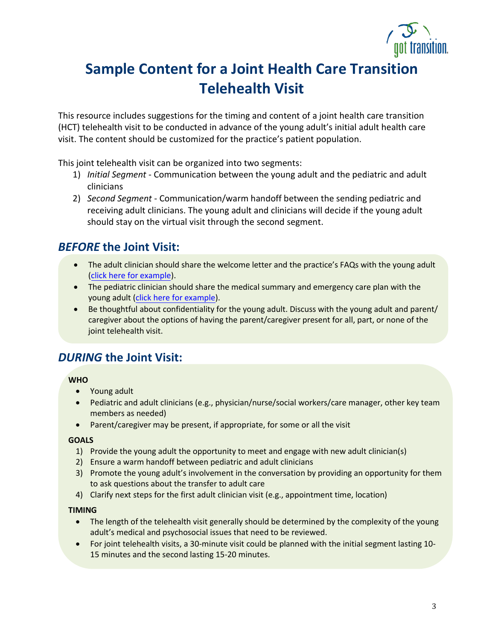

## <span id="page-2-0"></span>**Sample Content for a Joint Health Care Transition Telehealth Visit**

This resource includes suggestions for the timing and content of a joint health care transition (HCT) telehealth visit to be conducted in advance of the young adult's initial adult health care visit. The content should be customized for the practice's patient population.

This joint telehealth visit can be organized into two segments:

- 1) *Initial Segment* Communication between the young adult and the pediatric and adult clinicians
- 2) *Second Segment* Communication/warm handoff between the sending pediatric and receiving adult clinicians. The young adult and clinicians will decide if the young adult should stay on the virtual visit through the second segment.

## *BEFORE* **the Joint Visit:**

- The adult clinician should share the welcome letter and the practice's FAQs with the young adult [\(click here for](https://www.gottransition.org/6ce/integrating-welcome-orientation) example).
- The pediatric clinician should share the medical summary and emergency care plan with the young adult [\(click here for example\)](https://www.gottransition.org/6ce/leaving-medical-summary-emergency-plan).
- Be thoughtful about confidentiality for the young adult. Discuss with the young adult and parent/ caregiver about the options of having the parent/caregiver present for all, part, or none of the joint telehealth visit.

## *DURING* **the Joint Visit:**

#### **WHO**

- Young adult
- Pediatric and adult clinicians (e.g., physician/nurse/social workers/care manager, other key team members as needed)
- Parent/caregiver may be present, if appropriate, for some or all the visit

#### **GOALS**

- 1) Provide the young adult the opportunity to meet and engage with new adult clinician(s)
- 2) Ensure a warm handoff between pediatric and adult clinicians
- 3) Promote the young adult's involvement in the conversation by providing an opportunity for them to ask questions about the transfer to adult care
- 4) Clarify next steps for the first adult clinician visit (e.g., appointment time, location)

#### **TIMING**

- The length of the telehealth visit generally should be determined by the complexity of the young adult's medical and psychosocial issues that need to be reviewed.
- For joint telehealth visits, a 30-minute visit could be planned with the initial segment lasting 10- 15 minutes and the second lasting 15-20 minutes.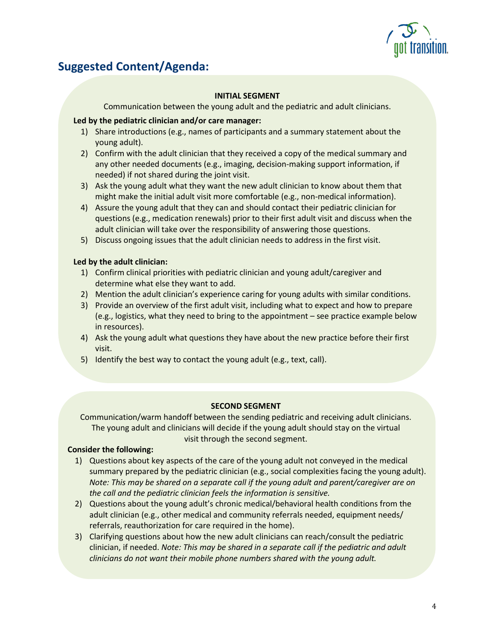

## **Suggested Content/Agenda:**

#### **INITIAL SEGMENT**

Communication between the young adult and the pediatric and adult clinicians.

#### **Led by the pediatric clinician and/or care manager:**

- 1) Share introductions (e.g., names of participants and a summary statement about the young adult).
- 2) Confirm with the adult clinician that they received a copy of the medical summary and any other needed documents (e.g., imaging, decision-making support information, if needed) if not shared during the joint visit.
- 3) Ask the young adult what they want the new adult clinician to know about them that might make the initial adult visit more comfortable (e.g., non-medical information).
- 4) Assure the young adult that they can and should contact their pediatric clinician for questions (e.g., medication renewals) prior to their first adult visit and discuss when the adult clinician will take over the responsibility of answering those questions.
- 5) Discuss ongoing issues that the adult clinician needs to address in the first visit.

#### **Led by the adult clinician:**

- 1) Confirm clinical priorities with pediatric clinician and young adult/caregiver and determine what else they want to add.
- 2) Mention the adult clinician's experience caring for young adults with similar conditions.
- 3) Provide an overview of the first adult visit, including what to expect and how to prepare (e.g., logistics, what they need to bring to the appointment – see practice example below in resources).
- 4) Ask the young adult what questions they have about the new practice before their first visit.
- 5) Identify the best way to contact the young adult (e.g., text, call).

#### **SECOND SEGMENT**

Communication/warm handoff between the sending pediatric and receiving adult clinicians. The young adult and clinicians will decide if the young adult should stay on the virtual visit through the second segment.

#### **Consider the following:**

- 1) Questions about key aspects of the care of the young adult not conveyed in the medical summary prepared by the pediatric clinician (e.g., social complexities facing the young adult). *Note: This may be shared on a separate call if the young adult and parent/caregiver are on the call and the pediatric clinician feels the information is sensitive.*
- 2) Questions about the young adult's chronic medical/behavioral health conditions from the adult clinician (e.g., other medical and community referrals needed, equipment needs/ referrals, reauthorization for care required in the home).
- 3) Clarifying questions about how the new adult clinicians can reach/consult the pediatric clinician, if needed. *Note: This may be shared in a separate call if the pediatric and adult clinicians do not want their mobile phone numbers shared with the young adult.*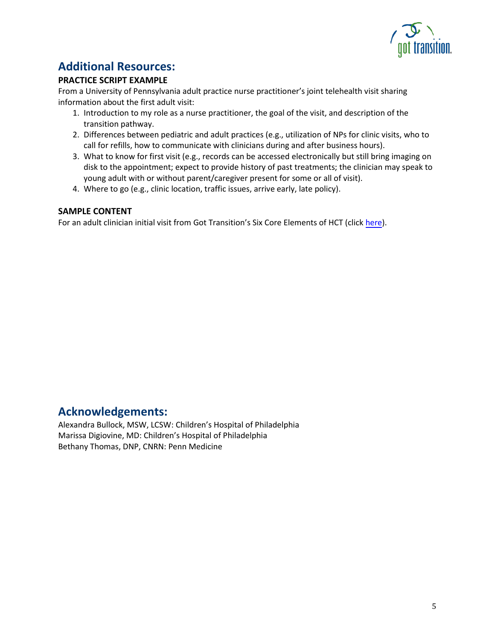

## **Additional Resources:**

#### **PRACTICE SCRIPT EXAMPLE**

From a University of Pennsylvania adult practice nurse practitioner's joint telehealth visit sharing information about the first adult visit:

- 1. Introduction to my role as a nurse practitioner, the goal of the visit, and description of the transition pathway.
- 2. Differences between pediatric and adult practices (e.g., utilization of NPs for clinic visits, who to call for refills, how to communicate with clinicians during and after business hours).
- 3. What to know for first visit (e.g., records can be accessed electronically but still bring imaging on disk to the appointment; expect to provide history of past treatments; the clinician may speak to young adult with or without parent/caregiver present for some or all of visit).
- 4. Where to go (e.g., clinic location, traffic issues, arrive early, late policy).

#### **SAMPLE CONTENT**

For an adult clinician initial visit from Got Transition's Six Core Elements of HCT (click [here\)](https://www.gottransition.org/6ce/?integrating-initial-visits).

## **Acknowledgements:**

Alexandra Bullock, MSW, LCSW: Children's Hospital of Philadelphia Marissa Digiovine, MD: Children's Hospital of Philadelphia Bethany Thomas, DNP, CNRN: Penn Medicine